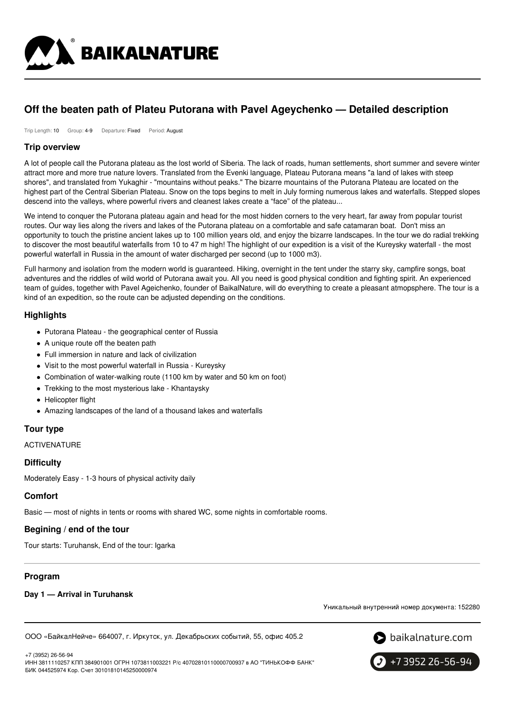

# **Off the beaten path of Plateu Putorana with Pavel Ageychenko — Detailed description**

Trip Length: 10 Group: 4-9 Departure: Fixed Period: August

### **Trip overview**

A lot of people call the Putorana plateau as the lost world of Siberia. The lack of roads, human settlements, short summer and severe winter attract more and more true nature lovers. Translated from the Evenki language, Plateau Putorana means "a land of lakes with steep shores", and translated from Yukaghir - "mountains without peaks." The bizarre mountains of the Putorana Plateau are located on the highest part of the Central Siberian Plateau. Snow on the tops begins to melt in July forming numerous lakes and waterfalls. Stepped slopes descend into the valleys, where powerful rivers and cleanest lakes create a "face" of the plateau...

We intend to conquer the Putorana plateau again and head for the most hidden corners to the very heart, far away from popular tourist routes. Our way lies along the rivers and lakes of the Putorana plateau on a comfortable and safe catamaran boat. Don't miss an opportunity to touch the pristine ancient lakes up to 100 million years old, and enjoy the bizarre landscapes. In the tour we do radial trekking to discover the most beautiful waterfalls from 10 to 47 m high! The highlight of our expedition is a visit of the Kureysky waterfall - the most powerful waterfall in Russia in the amount of water discharged per second (up to 1000 m3).

Full harmony and isolation from the modern world is guaranteed. Hiking, overnight in the tent under the starry sky, campfire songs, boat adventures and the riddles of wild world of Putorana await you. All you need is good physical condition and fighting spirit. An experienced team of guides, together with Pavel Ageichenko, founder of BaikalNature, will do everything to create a pleasant atmopsphere. The tour is a kind of an expedition, so the route can be adjusted depending on the conditions.

# **Highlights**

- Putorana Plateau the geographical center of Russia
- A unique route off the beaten path
- Full immersion in nature and lack of civilization
- Visit to the most powerful waterfall in Russia Kureysky
- Combination of water-walking route (1100 km by water and 50 km on foot)
- Trekking to the most mysterious lake Khantaysky
- Helicopter flight
- Amazing landscapes of the land of a thousand lakes and waterfalls

# **Tour type**

ACTIVENATURE

### **Difficulty**

Moderately Easy - 1-3 hours of physical activity daily

# **Comfort**

Basic — most of nights in tents or rooms with shared WC, some nights in comfortable rooms.

### **Begining / end of the tour**

Tour starts: Turuhansk, End of the tour: Igarka

# **Program**

### **Day 1 — Arrival in Turuhansk**

Уникальный внутренний номер документа: 152280

ООО «БайкалНейче» 664007, г. Иркутск, ул. Декабрьских событий, 55, офис 405.2



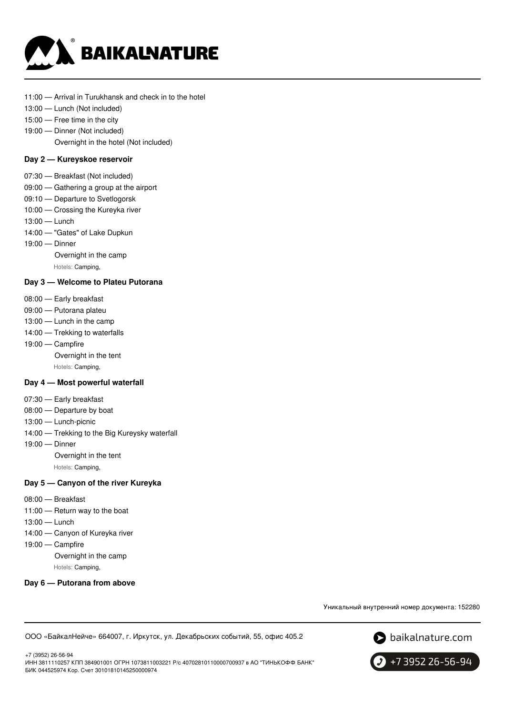

- 11:00 Arrival in Turukhansk and check in to the hotel
- 13:00 Lunch (Not included)
- 15:00 Free time in the city
- 19:00 Dinner (Not included)

Overnight in the hotel (Not included)

#### **Day 2 — Kureyskoe reservoir**

- 07:30 Breakfast (Not included)
- 09:00 Gathering a group at the airport
- 09:10 Departure to Svetlogorsk
- 10:00 Crossing the Kureyka river
- 13:00 Lunch
- 14:00 "Gates" of Lake Dupkun
- 19:00 Dinner

Overnight in the camp

Hotels: Camping,

### **Day 3 — Welcome to Plateu Putorana**

- 08:00 Early breakfast
- 09:00 Putorana plateu
- 13:00 Lunch in the camp
- 14:00 Trekking to waterfalls
- 19:00 Campfire
	- Overnight in the tent

Hotels: Camping,

#### **Day 4 — Most powerful waterfall**

- 07:30 Early breakfast
- 08:00 Departure by boat
- 13:00 Lunch-picnic
- 14:00 Trekking to the Big Kureysky waterfall
- 19:00 Dinner Overnight in the tent Hotels: Camping,

#### **Day 5 — Canyon of the river Kureyka**

- 08:00 Breakfast
- 11:00 Return way to the boat
- 13:00 Lunch
- 14:00 Canyon of Kureyka river
- 19:00 Campfire

Overnight in the camp

Hotels: Camping,

#### **Day 6 — Putorana from above**

Уникальный внутренний номер документа: 152280

ООО «БайкалНейче» 664007, г. Иркутск, ул. Декабрьских событий, 55, офис 405.2



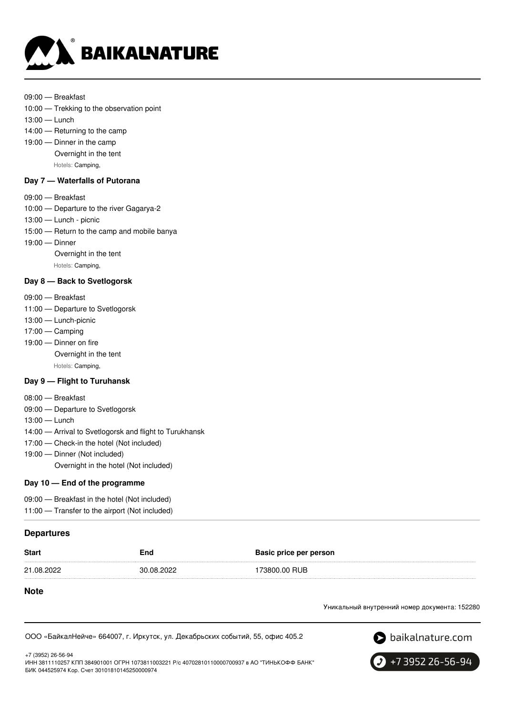

- 09:00 Breakfast
- 10:00 Trekking to the observation point
- 13:00 Lunch
- 14:00 Returning to the camp
- 19:00 Dinner in the camp Overnight in the tent Hotels: Camping,

#### **Day 7 — Waterfalls of Putorana**

- 09:00 Breakfast
- 10:00 Departure to the river Gagarya-2
- 13:00 Lunch picnic
- 15:00 Return to the camp and mobile banya
- 19:00 Dinner

Overnight in the tent

Hotels: Camping,

#### **Day 8 — Back to Svetlogorsk**

- 09:00 Breakfast
- 11:00 Departure to Svetlogorsk
- 13:00 Lunch-picnic
- 17:00 Camping
- 19:00 Dinner on fire
	- Overnight in the tent

Hotels: Camping,

### **Day 9 — Flight to Turuhansk**

- 08:00 Breakfast
- 09:00 Departure to Svetlogorsk
- 13:00 Lunch
- 14:00 Arrival to Svetlogorsk and flight to Turukhansk
- 17:00 Check-in the hotel (Not included)
- 19:00 Dinner (Not included) Overnight in the hotel (Not included)

#### **Day 10 — End of the programme**

| 09:00 – Breakfast in the hotel (Not included)  |  |
|------------------------------------------------|--|
| 11:00 - Transfer to the airport (Not included) |  |

### **Departures**

+7 (3952) 26-56-94

| <b>Start</b> | End        | <b>Basic price per person</b> |
|--------------|------------|-------------------------------|
| 21.08.2022   | 30.08.2022 | 173800.00 RUB                 |

#### **Note**

Уникальный внутренний номер документа: 152280

ООО «БайкалНейче» 664007, г. Иркутск, ул. Декабрьских событий, 55, офис 405.2



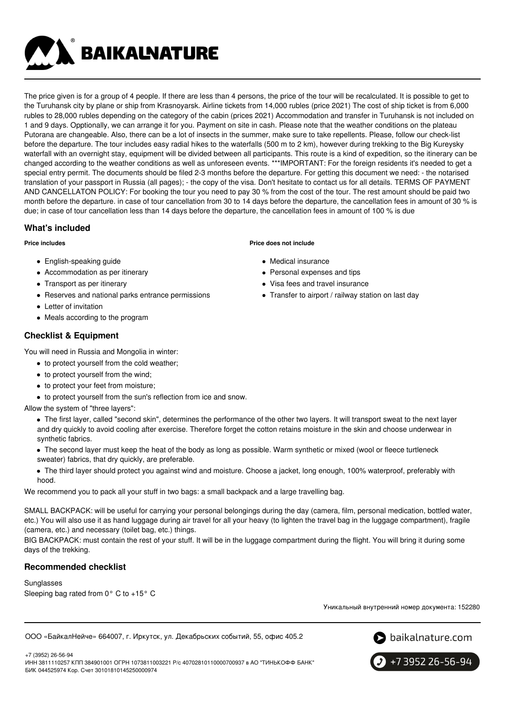**BAIKALNATURE** 

The price given is for a group of 4 people. If there are less than 4 persons, the price of the tour will be recalculated. It is possible to get to the Turuhansk city by plane or ship from Krasnoyarsk. Airline tickets from 14,000 rubles (price 2021) The cost of ship ticket is from 6,000 rubles to 28,000 rubles depending on the category of the cabin (prices 2021) Accommodation and transfer in Turuhansk is not included on 1 and 9 days. Opptionally, we can arrange it for you. Payment on site in cash. Please note that the weather conditions on the plateau Putorana are changeable. Also, there can be a lot of insects in the summer, make sure to take repellents. Please, follow our check-list before the departure. The tour includes easy radial hikes to the waterfalls (500 m to 2 km), however during trekking to the Big Kureysky waterfall with an overnight stay, equipment will be divided between all participants. This route is a kind of expedition, so the itinerary can be changed according to the weather conditions as well as unforeseen events. \*\*\*IMPORTANT: For the foreign residents it's needed to get a special entry permit. The documents should be filed 2-3 months before the departure. For getting this document we need: - the notarised translation of your passport in Russia (all pages); - the copy of the visa. Don't hesitate to contact us for all details. TERMS OF PAYMENT AND CANCELLATON POLICY: For booking the tour you need to pay 30 % from the cost of the tour. The rest amount should be paid two month before the departure. in case of tour cancellation from 30 to 14 days before the departure, the cancellation fees in amount of 30 % is due; in case of tour cancellation less than 14 days before the departure, the cancellation fees in amount of 100 % is due

# **What's included**

### **Price includes**

- English-speaking guide
- Accommodation as per itinerary
- Transport as per itinerary
- Reserves and national parks entrance permissions
- Letter of invitation
- Meals according to the program

# **Checklist & Equipment**

You will need in Russia and Mongolia in winter:

- to protect yourself from the cold weather;
- to protect yourself from the wind;
- to protect your feet from moisture;
- to protect yourself from the sun's reflection from ice and snow.
- Allow the system of "three layers":

The first layer, called "second skin", determines the performance of the other two layers. It will transport sweat to the next layer and dry quickly to avoid cooling after exercise. Therefore forget the cotton retains moisture in the skin and choose underwear in synthetic fabrics.

- The second layer must keep the heat of the body as long as possible. Warm synthetic or mixed (wool or fleece turtleneck sweater) fabrics, that dry quickly, are preferable.
- The third layer should protect you against wind and moisture. Choose a jacket, long enough, 100% waterproof, preferably with hood.

We recommend you to pack all your stuff in two bags: a small backpack and a large travelling bag.

SMALL BACKPACK: will be useful for carrying your personal belongings during the day (camera, film, personal medication, bottled water, etc.) You will also use it as hand luggage during air travel for all your heavy (to lighten the travel bag in the luggage compartment), fragile (camera, etc.) and necessary (toilet bag, etc.) things.

BIG BACKPACK: must contain the rest of your stuff. It will be in the luggage compartment during the flight. You will bring it during some days of the trekking.

# **Recommended checklist**

Sunglasses Sleeping bag rated from 0° C to +15° C

Уникальный внутренний номер документа: 152280

ООО «БайкалНейче» 664007, г. Иркутск, ул. Декабрьских событий, 55, офис 405.2



+7 (3952) 26-56-94 ИНН 3811110257 КПП 384901001 ОГРН 1073811003221 Р/с 40702810110000700937 в АО "ТИНЬКОФФ БАНК" БИК 044525974 Кор. Счет 30101810145250000974

#### **Price does not include**

- Medical insurance
- Personal expenses and tips
- Visa fees and travel insurance
- Transfer to airport / railway station on last day

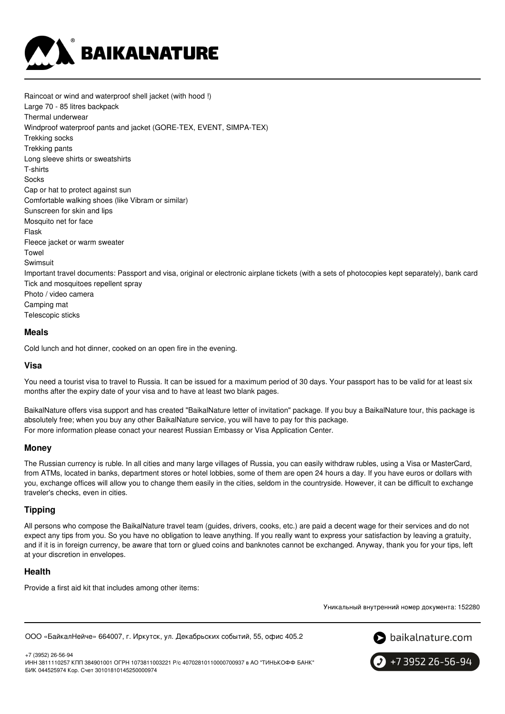

Raincoat or wind and waterproof shell jacket (with hood !) Large 70 - 85 litres backpack Thermal underwear Windproof waterproof pants and jacket (GORE-TEX, EVENT, SIMPA-TEX) Trekking socks Trekking pants Long sleeve shirts or sweatshirts T-shirts Socks Cap or hat to protect against sun Comfortable walking shoes (like Vibram or similar) Sunscreen for skin and lips Mosquito net for face Flask Fleece jacket or warm sweater Towel Swimsuit Important travel documents: Passport and visa, original or electronic airplane tickets (with a sets of photocopies kept separately), bank card Tick and mosquitoes repellent spray Photo / video camera Camping mat Telescopic sticks

#### **Meals**

Cold lunch and hot dinner, cooked on an open fire in the evening.

### **Visa**

You need a tourist visa to travel to Russia. It can be issued for a maximum period of 30 days. Your passport has to be valid for at least six months after the expiry date of your visa and to have at least two blank pages.

BaikalNature offers visa support and has created "BaikalNature letter of invitation" package. If you buy a BaikalNature tour, this package is absolutely free; when you buy any other BaikalNature service, you will have to pay for this package. For more information please conact your nearest Russian Embassy or Visa Application Center.

#### **Money**

The Russian currency is ruble. In all cities and many large villages of Russia, you can easily withdraw rubles, using a Visa or MasterCard, from ATMs, located in banks, department stores or hotel lobbies, some of them are open 24 hours a day. If you have euros or dollars with you, exchange offices will allow you to change them easily in the cities, seldom in the countryside. However, it can be difficult to exchange traveler's checks, even in cities.

### **Tipping**

All persons who compose the BaikalNature travel team (guides, drivers, cooks, etc.) are paid a decent wage for their services and do not expect any tips from you. So you have no obligation to leave anything. If you really want to express your satisfaction by leaving a gratuity, and if it is in foreign currency, be aware that torn or glued coins and banknotes cannot be exchanged. Anyway, thank you for your tips, left at your discretion in envelopes.

### **Health**

Provide a first aid kit that includes among other items:

Уникальный внутренний номер документа: 152280

ООО «БайкалНейче» 664007, г. Иркутск, ул. Декабрьских событий, 55, офис 405.2